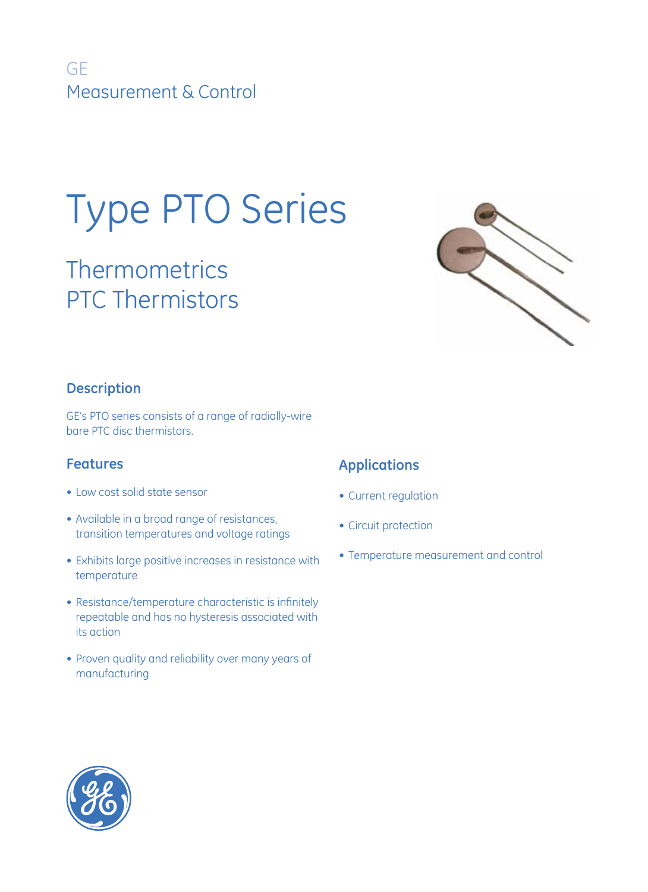

# Type PTO Series

**Thermometrics** PTC Thermistors



## **Description**

GE's PTO series consists of a range of radially-wire bare PTC disc thermistors.

## **Features**

- Low cost solid state sensor
- Available in a broad range of resistances, transition temperatures and voltage ratings
- Exhibits large positive increases in resistance with temperature
- Resistance/temperature characteristic is infinitely repeatable and has no hysteresis associated with its action
- Proven quality and reliability over many years of manufacturing

## **Applications**

- Current regulation
- Circuit protection
- Temperature measurement and control

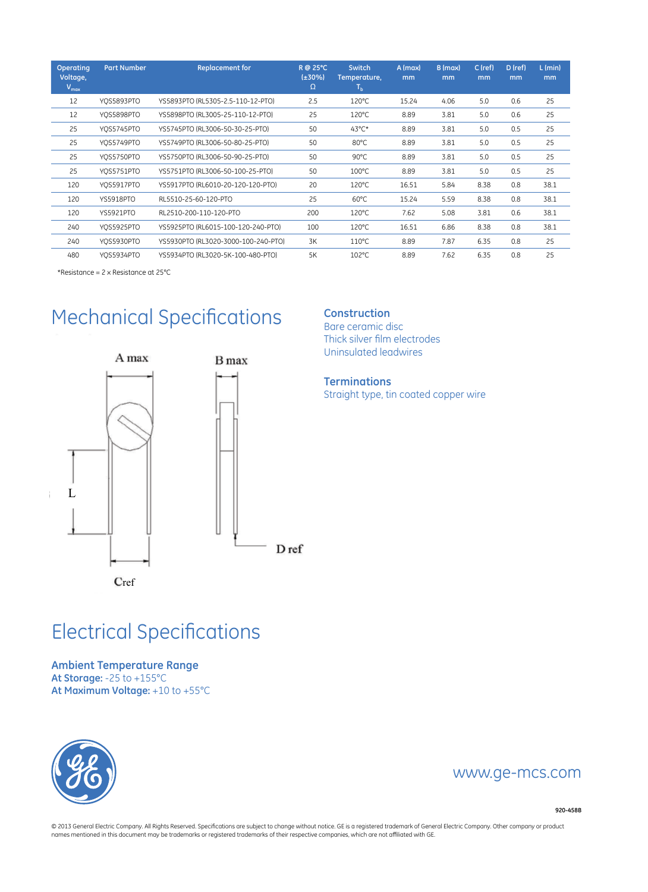| Operating<br>Voltage,<br>$V_{\text{max}}$ | <b>Part Number</b> | <b>Replacement for</b>              | R @ 25°C<br>$(\pm 30\%)$<br>Ω | Switch<br>Temperature,<br>$T_{\rm h}$ | A (max)<br>mm | B (max)<br>mm | C (ref)<br>mm | D (ref)<br>mm | $L$ (min)<br>mm |
|-------------------------------------------|--------------------|-------------------------------------|-------------------------------|---------------------------------------|---------------|---------------|---------------|---------------|-----------------|
| 12                                        | YOS5893PTO         | YS5893PTO (RL5305-2.5-110-12-PTO)   | 2.5                           | 120°C                                 | 15.24         | 4.06          | 5.0           | 0.6           | 25              |
| 12                                        | YOS5898PTO         | YS5898PTO (RL3005-25-110-12-PTO)    | 25                            | $120^{\circ}$ C                       | 8.89          | 3.81          | 5.0           | 0.6           | 25              |
| 25                                        | YOS5745PTO         | YS5745PTO (RL3006-50-30-25-PTO)     | 50                            | $43^{\circ}$ C*                       | 8.89          | 3.81          | 5.0           | 0.5           | 25              |
| 25                                        | YOS5749PTO         | YS5749PTO (RL3006-50-80-25-PTO)     | 50                            | $80^{\circ}$ C                        | 8.89          | 3.81          | 5.0           | 0.5           | 25              |
| 25                                        | YOS5750PTO         | YS5750PTO (RL3006-50-90-25-PTO)     | 50                            | 90°C                                  | 8.89          | 3.81          | 5.0           | 0.5           | 25              |
| 25                                        | YOS5751PTO         | YS5751PTO (RL3006-50-100-25-PTO)    | 50                            | $100^{\circ}$ C                       | 8.89          | 3.81          | 5.0           | 0.5           | 25              |
| 120                                       | YOS5917PTO         | YS5917PTO (RL6010-20-120-120-PTO)   | 20                            | $120^{\circ}$ C                       | 16.51         | 5.84          | 8.38          | 0.8           | 38.1            |
| 120                                       | <b>YS5918PTO</b>   | RL5510-25-60-120-PTO                | 25                            | $60^{\circ}$ C                        | 15.24         | 5.59          | 8.38          | 0.8           | 38.1            |
| 120                                       | YS5921PTO          | RL2510-200-110-120-PTO              | 200                           | 120°C                                 | 7.62          | 5.08          | 3.81          | 0.6           | 38.1            |
| 240                                       | YOS5925PTO         | YS5925PTO (RL6015-100-120-240-PTO)  | 100                           | 120°C                                 | 16.51         | 6.86          | 8.38          | 0.8           | 38.1            |
| 240                                       | YOS5930PTO         | YS5930PTO (RL3020-3000-100-240-PTO) | 3K                            | 110°C                                 | 8.89          | 7.87          | 6.35          | 0.8           | 25              |
| 480                                       | YOS5934PTO         | YS5934PTO (RL3020-5K-100-480-PTO)   | 5K                            | 102°C                                 | 8.89          | 7.62          | 6.35          | 0.8           | 25              |

\*Resistance = 2 x Resistance at 25°C

# Mechanical Specifications



#### **Construction**

Bare ceramic disc Thick silver film electrodes Uninsulated leadwires

#### **Terminations**

Straight type, tin coated copper wire

# Electrical Specifications

**Ambient Temperature Range At Storage:** -25 to +155°C **At Maximum Voltage:** +10 to +55°C



## www.ge-mcs.com

**920-458B**

© 2013 General Electric Company. All Rights Reserved. Specifications are subject to change without notice. GE is a registered trademark of General Electric Company. Other company or product names mentioned in this document may be trademarks or registered trademarks of their respective companies, which are not affiliated with GE.